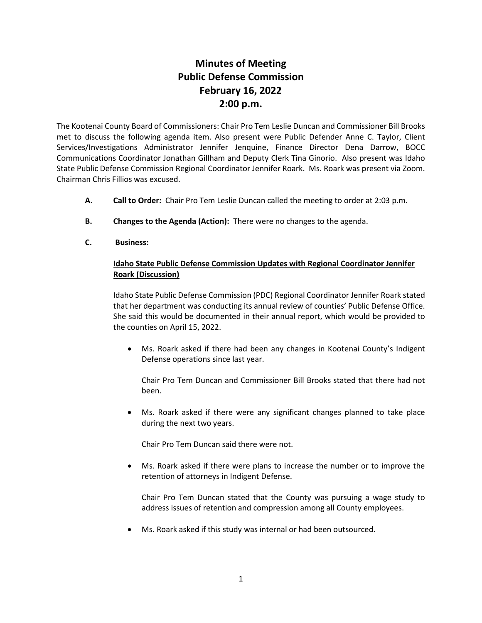## **Minutes of Meeting Public Defense Commission February 16, 2022 2:00 p.m.**

The Kootenai County Board of Commissioners: Chair Pro Tem Leslie Duncan and Commissioner Bill Brooks met to discuss the following agenda item. Also present were Public Defender Anne C. Taylor, Client Services/Investigations Administrator Jennifer Jenquine, Finance Director Dena Darrow, BOCC Communications Coordinator Jonathan Gillham and Deputy Clerk Tina Ginorio. Also present was Idaho State Public Defense Commission Regional Coordinator Jennifer Roark. Ms. Roark was present via Zoom. Chairman Chris Fillios was excused.

- **A. Call to Order:** Chair Pro Tem Leslie Duncan called the meeting to order at 2:03 p.m.
- **B. Changes to the Agenda (Action):** There were no changes to the agenda.
- **C. Business:**

## **Idaho State Public Defense Commission Updates with Regional Coordinator Jennifer Roark (Discussion)**

Idaho State Public Defense Commission (PDC) Regional Coordinator Jennifer Roark stated that her department was conducting its annual review of counties' Public Defense Office. She said this would be documented in their annual report, which would be provided to the counties on April 15, 2022.

• Ms. Roark asked if there had been any changes in Kootenai County's Indigent Defense operations since last year.

Chair Pro Tem Duncan and Commissioner Bill Brooks stated that there had not been.

• Ms. Roark asked if there were any significant changes planned to take place during the next two years.

Chair Pro Tem Duncan said there were not.

• Ms. Roark asked if there were plans to increase the number or to improve the retention of attorneys in Indigent Defense.

Chair Pro Tem Duncan stated that the County was pursuing a wage study to address issues of retention and compression among all County employees.

Ms. Roark asked if this study was internal or had been outsourced.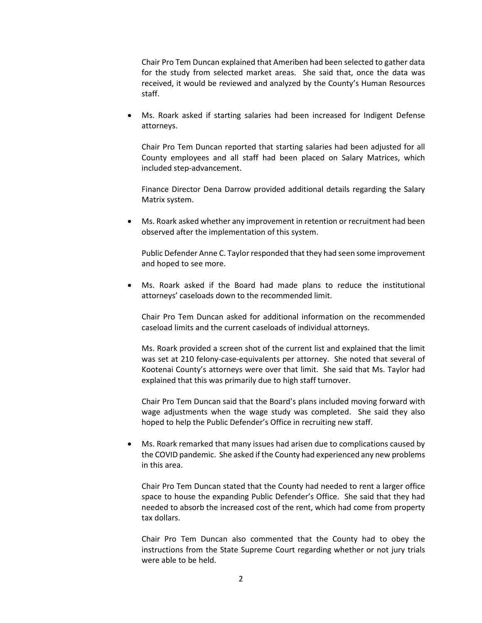Chair Pro Tem Duncan explained that Ameriben had been selected to gather data for the study from selected market areas. She said that, once the data was received, it would be reviewed and analyzed by the County's Human Resources staff.

• Ms. Roark asked if starting salaries had been increased for Indigent Defense attorneys.

Chair Pro Tem Duncan reported that starting salaries had been adjusted for all County employees and all staff had been placed on Salary Matrices, which included step-advancement.

Finance Director Dena Darrow provided additional details regarding the Salary Matrix system.

• Ms. Roark asked whether any improvement in retention or recruitment had been observed after the implementation of this system.

Public Defender Anne C. Taylor responded that they had seen some improvement and hoped to see more.

• Ms. Roark asked if the Board had made plans to reduce the institutional attorneys' caseloads down to the recommended limit.

Chair Pro Tem Duncan asked for additional information on the recommended caseload limits and the current caseloads of individual attorneys.

Ms. Roark provided a screen shot of the current list and explained that the limit was set at 210 felony-case-equivalents per attorney. She noted that several of Kootenai County's attorneys were over that limit. She said that Ms. Taylor had explained that this was primarily due to high staff turnover.

Chair Pro Tem Duncan said that the Board's plans included moving forward with wage adjustments when the wage study was completed. She said they also hoped to help the Public Defender's Office in recruiting new staff.

• Ms. Roark remarked that many issues had arisen due to complications caused by the COVID pandemic. She asked if the County had experienced any new problems in this area.

Chair Pro Tem Duncan stated that the County had needed to rent a larger office space to house the expanding Public Defender's Office. She said that they had needed to absorb the increased cost of the rent, which had come from property tax dollars.

Chair Pro Tem Duncan also commented that the County had to obey the instructions from the State Supreme Court regarding whether or not jury trials were able to be held.